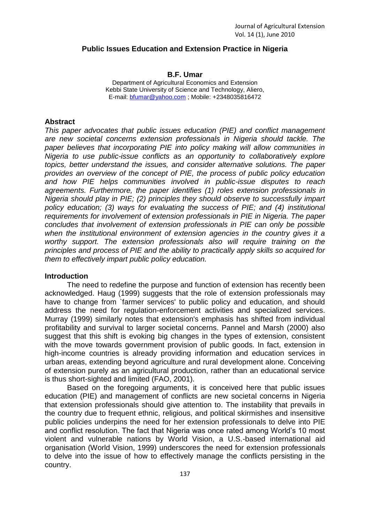### **Public Issues Education and Extension Practice in Nigeria**

### **B.F. Umar**

Department of Agricultural Economics and Extension Kebbi State University of Science and Technology, Aliero, E-mail: [bfumar@yahoo.com](mailto:bfumar@yahoo.com) ; Mobile: +2348035816472

# **Abstract**

*This paper advocates that public issues education (PIE) and conflict management are new societal concerns extension professionals in Nigeria should tackle. The paper believes that incorporating PIE into policy making will allow communities in Nigeria to use public-issue conflicts as an opportunity to collaboratively explore topics, better understand the issues, and consider alternative solutions. The paper provides an overview of the concept of PIE, the process of public policy education and how PIE helps communities involved in public-issue disputes to reach agreements. Furthermore, the paper identifies (1) roles extension professionals in Nigeria should play in PIE; (2) principles they should observe to successfully impart policy education; (3) ways for evaluating the success of PIE; and (4) institutional requirements for involvement of extension professionals in PIE in Nigeria. The paper concludes that involvement of extension professionals in PIE can only be possible when the institutional environment of extension agencies in the country gives it a worthy support. The extension professionals also will require training on the principles and process of PIE and the ability to practically apply skills so acquired for them to effectively impart public policy education.* 

#### **Introduction**

The need to redefine the purpose and function of extension has recently been acknowledged. Haug (1999) suggests that the role of extension professionals may have to change from `farmer services' to public policy and education, and should address the need for regulation-enforcement activities and specialized services. Murray (1999) similarly notes that extension's emphasis has shifted from individual profitability and survival to larger societal concerns. Pannel and Marsh (2000) also suggest that this shift is evoking big changes in the types of extension, consistent with the move towards government provision of public goods. In fact, extension in high-income countries is already providing information and education services in urban areas, extending beyond agriculture and rural development alone. Conceiving of extension purely as an agricultural production, rather than an educational service is thus short-sighted and limited (FAO, 2001).

Based on the foregoing arguments, it is conceived here that public issues education (PIE) and management of conflicts are new societal concerns in Nigeria that extension professionals should give attention to. The instability that prevails in the country due to frequent ethnic, religious, and political skirmishes and insensitive public policies underpins the need for her extension professionals to delve into PIE and conflict resolution. The fact that Nigeria was once rated among World's 10 most violent and vulnerable nations by World Vision, a U.S.-based international aid organisation (World Vision, 1999) underscores the need for extension professionals to delve into the issue of how to effectively manage the conflicts persisting in the country.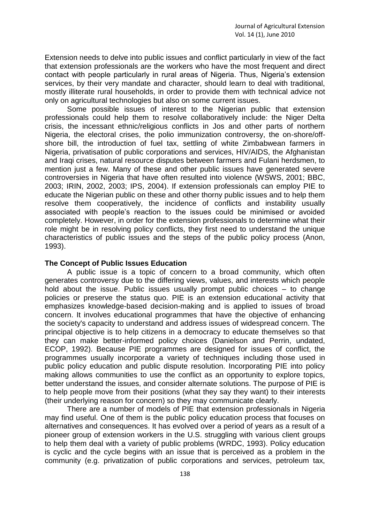Extension needs to delve into public issues and conflict particularly in view of the fact that extension professionals are the workers who have the most frequent and direct contact with people particularly in rural areas of Nigeria. Thus, Nigeria's extension services, by their very mandate and character, should learn to deal with traditional, mostly illiterate rural households, in order to provide them with technical advice not only on agricultural technologies but also on some current issues.

Some possible issues of interest to the Nigerian public that extension professionals could help them to resolve collaboratively include: the Niger Delta crisis, the incessant ethnic/religious conflicts in Jos and other parts of northern Nigeria, the electoral crises, the polio immunization controversy, the on-shore/offshore bill, the introduction of fuel tax, settling of white Zimbabwean farmers in Nigeria, privatisation of public corporations and services, HIV/AIDS, the Afghanistan and Iraqi crises, natural resource disputes between farmers and Fulani herdsmen, to mention just a few. Many of these and other public issues have generated severe controversies in Nigeria that have often resulted into violence (WSWS, 2001; BBC, 2003; IRIN, 2002, 2003; IPS, 2004). If extension professionals can employ PIE to educate the Nigerian public on these and other thorny public issues and to help them resolve them cooperatively, the incidence of conflicts and instability usually associated with people's reaction to the issues could be minimised or avoided completely. However, in order for the extension professionals to determine what their role might be in resolving policy conflicts, they first need to understand the unique characteristics of public issues and the steps of the public policy process (Anon, 1993).

#### **The Concept of Public Issues Education**

A public issue is a topic of concern to a broad community, which often generates controversy due to the differing views, values, and interests which people hold about the issue. Public issues usually prompt public choices – to change policies or preserve the status quo. PIE is an extension educational activity that emphasizes knowledge-based decision-making and is applied to issues of broad concern. It involves educational programmes that have the objective of enhancing the society's capacity to understand and address issues of widespread concern. The principal objective is to help citizens in a democracy to educate themselves so that they can make better-informed policy choices (Danielson and Perrin, undated, ECOP, 1992). Because PIE programmes are designed for issues of conflict, the programmes usually incorporate a variety of techniques including those used in public policy education and public dispute resolution. Incorporating PIE into policy making allows communities to use the conflict as an opportunity to explore topics, better understand the issues, and consider alternate solutions. The purpose of PIE is to help people move from their positions (what they say they want) to their interests (their underlying reason for concern) so they may communicate clearly.

There are a number of models of PIE that extension professionals in Nigeria may find useful. One of them is the public policy education process that focuses on alternatives and consequences. It has evolved over a period of years as a result of a pioneer group of extension workers in the U.S. struggling with various client groups to help them deal with a variety of public problems (WRDC, 1993). Policy education is cyclic and the cycle begins with an issue that is perceived as a problem in the community (e.g. privatization of public corporations and services, petroleum tax,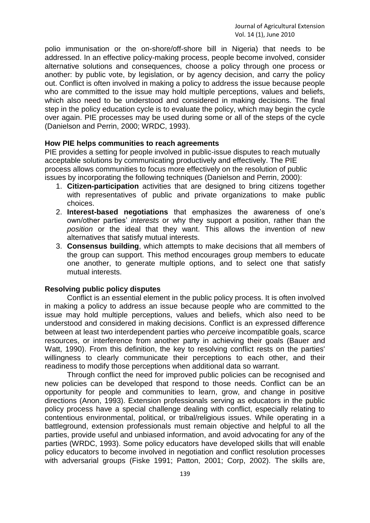Journal of Agricultural Extension Vol. 14 (1), June 2010

polio immunisation or the on-shore/off-shore bill in Nigeria) that needs to be addressed. In an effective policy-making process, people become involved, consider alternative solutions and consequences, choose a policy through one process or another: by public vote, by legislation, or by agency decision, and carry the policy out. Conflict is often involved in making a policy to address the issue because people who are committed to the issue may hold multiple perceptions, values and beliefs, which also need to be understood and considered in making decisions. The final step in the policy education cycle is to evaluate the policy, which may begin the cycle over again. PIE processes may be used during some or all of the steps of the cycle (Danielson and Perrin, 2000; WRDC, 1993).

### **How PIE helps communities to reach agreements**

PIE provides a setting for people involved in public-issue disputes to reach mutually acceptable solutions by communicating productively and effectively. The PIE process allows communities to focus more effectively on the resolution of public issues by incorporating the following techniques (Danielson and Perrin, 2000):

- 1. **Citizen-participation** activities that are designed to bring citizens together with representatives of public and private organizations to make public choices.
- 2. **Interest-based negotiations** that emphasizes the awareness of one's own/other parties' *interests* or why they support a position, rather than the *position* or the ideal that they want. This allows the invention of new alternatives that satisfy mutual interests.
- 3. **Consensus building**, which attempts to make decisions that all members of the group can support. This method encourages group members to educate one another, to generate multiple options, and to select one that satisfy mutual interests.

#### **Resolving public policy disputes**

Conflict is an essential element in the public policy process. It is often involved in making a policy to address an issue because people who are committed to the issue may hold multiple perceptions, values and beliefs, which also need to be understood and considered in making decisions. Conflict is an expressed difference between at least two interdependent parties who *perceive* incompatible goals, scarce resources, or interference from another party in achieving their goals (Bauer and Watt, 1990). From this definition, the key to resolving conflict rests on the parties' willingness to clearly communicate their perceptions to each other, and their readiness to modify those perceptions when additional data so warrant.

Through conflict the need for improved public policies can be recognised and new policies can be developed that respond to those needs. Conflict can be an opportunity for people and communities to learn, grow, and change in positive directions (Anon, 1993). Extension professionals serving as educators in the public policy process have a special challenge dealing with conflict, especially relating to contentious environmental, political, or tribal/religious issues. While operating in a battleground, extension professionals must remain objective and helpful to all the parties, provide useful and unbiased information, and avoid advocating for any of the parties (WRDC, 1993). Some policy educators have developed skills that will enable policy educators to become involved in negotiation and conflict resolution processes with adversarial groups (Fiske 1991; Patton, 2001; Corp, 2002). The skills are,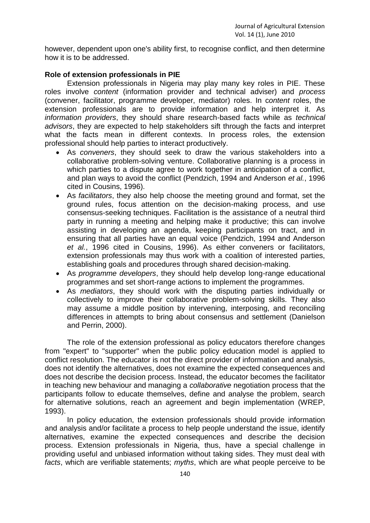however, dependent upon one's ability first, to recognise conflict, and then determine how it is to be addressed.

# **Role of extension professionals in PIE**

Extension professionals in Nigeria may play many key roles in PIE. These roles involve *content* (information provider and technical adviser) and *process* (convener, facilitator, programme developer, mediator) roles. In c*ontent* roles, the extension professionals are to provide information and help interpret it. As *information providers*, they should share research-based facts while as *technical advisors*, they are expected to help stakeholders sift through the facts and interpret what the facts mean in different contexts. In process roles, the extension professional should help parties to interact productively.

- As *conveners*, they should seek to draw the various stakeholders into a collaborative problem-solving venture. Collaborative planning is a process in which parties to a dispute agree to work together in anticipation of a conflict, and plan ways to avoid the conflict (Pendzich, 1994 and Anderson *et al.*, 1996 cited in Cousins, 1996).
- As *facilitators*, they also help choose the meeting ground and format, set the ground rules, focus attention on the decision-making process, and use consensus-seeking techniques. Facilitation is the assistance of a neutral third party in running a meeting and helping make it productive; this can involve assisting in developing an agenda, keeping participants on tract, and in ensuring that all parties have an equal voice (Pendzich, 1994 and Anderson *et al.*, 1996 cited in Cousins, 1996). As either conveners or facilitators, extension professionals may thus work with a coalition of interested parties, establishing goals and procedures through shared decision-making.
- As *programme developers*, they should help develop long-range educational programmes and set short-range actions to implement the programmes.
- As *mediators*, they should work with the disputing parties individually or collectively to improve their collaborative problem-solving skills. They also may assume a middle position by intervening, interposing, and reconciling differences in attempts to bring about consensus and settlement (Danielson and Perrin, 2000).

The role of the extension professional as policy educators therefore changes from "expert" to "supporter" when the public policy education model is applied to conflict resolution. The educator is not the direct provider of information and analysis, does not identify the alternatives, does not examine the expected consequences and does not describe the decision process. Instead, the educator becomes the facilitator in teaching new behaviour and managing a *collaborative* negotiation process that the participants follow to educate themselves, define and analyse the problem, search for alternative solutions, reach an agreement and begin implementation (WREP, 1993).

In policy education, the extension professionals should provide information and analysis and/or facilitate a process to help people understand the issue, identify alternatives, examine the expected consequences and describe the decision process. Extension professionals in Nigeria, thus, have a special challenge in providing useful and unbiased information without taking sides. They must deal with *facts*, which are verifiable statements; *myths*, which are what people perceive to be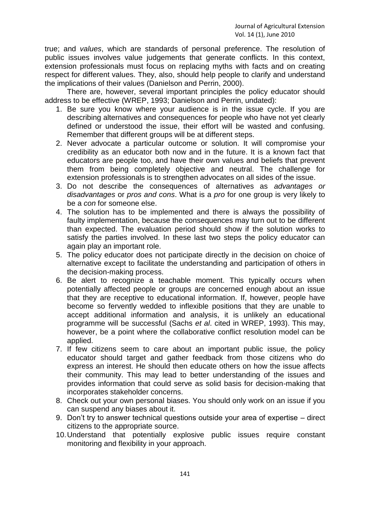true; and *values*, which are standards of personal preference. The resolution of public issues involves value judgements that generate conflicts. In this context, extension professionals must focus on replacing myths with facts and on creating respect for different values. They, also, should help people to clarify and understand the implications of their values (Danielson and Perrin, 2000).

There are, however, several important principles the policy educator should address to be effective (WREP, 1993; Danielson and Perrin, undated):

- 1. Be sure you know where your audience is in the issue cycle. If you are describing alternatives and consequences for people who have not yet clearly defined or understood the issue, their effort will be wasted and confusing. Remember that different groups will be at different steps.
- 2. Never advocate a particular outcome or solution. It will compromise your credibility as an educator both now and in the future. It is a known fact that educators are people too, and have their own values and beliefs that prevent them from being completely objective and neutral. The challenge for extension professionals is to strengthen advocates on all sides of the issue.
- 3. Do not describe the consequences of alternatives as *advantages or disadvantages* or *pros and cons*. What is a *pro* for one group is very likely to be a *con* for someone else.
- 4. The solution has to be implemented and there is always the possibility of faulty implementation, because the consequences may turn out to be different than expected. The evaluation period should show if the solution works to satisfy the parties involved. In these last two steps the policy educator can again play an important role.
- 5. The policy educator does not participate directly in the decision on choice of alternative except to facilitate the understanding and participation of others in the decision-making process.
- 6. Be alert to recognize a teachable moment. This typically occurs when potentially affected people or groups are concerned enough about an issue that they are receptive to educational information. If, however, people have become so fervently wedded to inflexible positions that they are unable to accept additional information and analysis, it is unlikely an educational programme will be successful (Sachs *et al*. cited in WREP, 1993). This may, however, be a point where the collaborative conflict resolution model can be applied.
- 7. If few citizens seem to care about an important public issue, the policy educator should target and gather feedback from those citizens who do express an interest. He should then educate others on how the issue affects their community. This may lead to better understanding of the issues and provides information that could serve as solid basis for decision-making that incorporates stakeholder concerns.
- 8. Check out your own personal biases. You should only work on an issue if you can suspend any biases about it.
- 9. Don't try to answer technical questions outside your area of expertise direct citizens to the appropriate source.
- 10.Understand that potentially explosive public issues require constant monitoring and flexibility in your approach.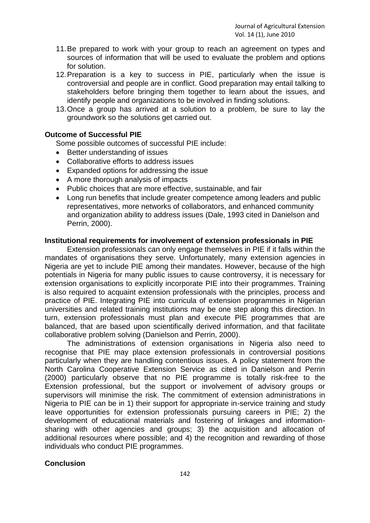- 11.Be prepared to work with your group to reach an agreement on types and sources of information that will be used to evaluate the problem and options for solution.
- 12.Preparation is a key to success in PIE, particularly when the issue is controversial and people are in conflict. Good preparation may entail talking to stakeholders before bringing them together to learn about the issues, and identify people and organizations to be involved in finding solutions.
- 13.Once a group has arrived at a solution to a problem, be sure to lay the groundwork so the solutions get carried out.

# **Outcome of Successful PIE**

Some possible outcomes of successful PIE include:

- Better understanding of issues
- Collaborative efforts to address issues
- Expanded options for addressing the issue
- A more thorough analysis of impacts
- Public choices that are more effective, sustainable, and fair
- Long run benefits that include greater competence among leaders and public representatives, more networks of collaborators, and enhanced community and organization ability to address issues (Dale, 1993 cited in Danielson and Perrin, 2000).

### **Institutional requirements for involvement of extension professionals in PIE**

Extension professionals can only engage themselves in PIE if it falls within the mandates of organisations they serve. Unfortunately, many extension agencies in Nigeria are yet to include PIE among their mandates. However, because of the high potentials in Nigeria for many public issues to cause controversy, it is necessary for extension organisations to explicitly incorporate PIE into their programmes. Training is also required to acquaint extension professionals with the principles, process and practice of PIE. Integrating PIE into curricula of extension programmes in Nigerian universities and related training institutions may be one step along this direction. In turn, extension professionals must plan and execute PIE programmes that are balanced, that are based upon scientifically derived information, and that facilitate collaborative problem solving (Danielson and Perrin, 2000).

The administrations of extension organisations in Nigeria also need to recognise that PIE may place extension professionals in controversial positions particularly when they are handling contentious issues. A policy statement from the North Carolina Cooperative Extension Service as cited in Danielson and Perrin (2000) particularly observe that no PIE programme is totally risk-free to the Extension professional, but the support or involvement of advisory groups or supervisors will minimise the risk. The commitment of extension administrations in Nigeria to PIE can be in 1) their support for appropriate in-service training and study leave opportunities for extension professionals pursuing careers in PIE; 2) the development of educational materials and fostering of linkages and informationsharing with other agencies and groups; 3) the acquisition and allocation of additional resources where possible; and 4) the recognition and rewarding of those individuals who conduct PIE programmes.

# **Conclusion**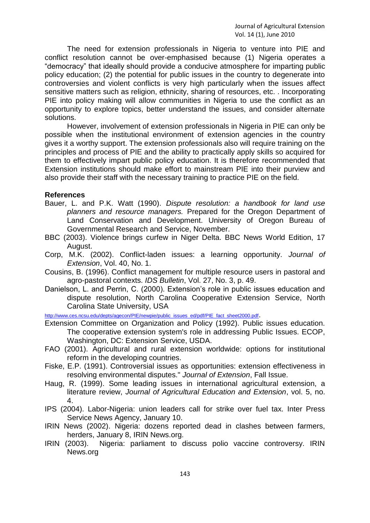The need for extension professionals in Nigeria to venture into PIE and conflict resolution cannot be over-emphasised because (1) Nigeria operates a "democracy" that ideally should provide a conducive atmosphere for imparting public policy education; (2) the potential for public issues in the country to degenerate into controversies and violent conflicts is very high particularly when the issues affect sensitive matters such as religion, ethnicity, sharing of resources, etc. . Incorporating PIE into policy making will allow communities in Nigeria to use the conflict as an opportunity to explore topics, better understand the issues, and consider alternate solutions.

However, involvement of extension professionals in Nigeria in PIE can only be possible when the institutional environment of extension agencies in the country gives it a worthy support. The extension professionals also will require training on the principles and process of PIE and the ability to practically apply skills so acquired for them to effectively impart public policy education. It is therefore recommended that Extension institutions should make effort to mainstream PIE into their purview and also provide their staff with the necessary training to practice PIE on the field.

#### **References**

- Bauer, L. and P.K. Watt (1990). *Dispute resolution: a handbook for land use planners and resource managers.* Prepared for the Oregon Department of Land Conservation and Development. University of Oregon Bureau of Governmental Research and Service, November.
- BBC (2003). Violence brings curfew in Niger Delta. BBC News World Edition, 17 August.
- Corp, M.K. (2002). Conflict-laden issues: a learning opportunity. *Journal of Extension*, Vol. 40, No. 1.
- Cousins, B. (1996). Conflict management for multiple resource users in pastoral and agro-pastoral contexts. *IDS Bulletin*, Vol. 27, No. 3, p. 49.
- Danielson, L. and Perrin, C. (2000). Extension's role in public issues education and dispute resolution, North Carolina Cooperative Extension Service, North Carolina State University, USA

[http://www.ces.ncsu.edu/depts/agecon/PIE/newpie/public\\_issues\\_ed/pdf/PIE\\_fact\\_sheet2000.pdf](http://www.ces.ncsu.edu/depts/agecon/PIE/newpie/public_issues_ed/pdf/PIE_fact_sheet2000.pdf).

- Extension Committee on Organization and Policy (1992). Public issues education. The cooperative extension system's role in addressing Public Issues. ECOP, Washington, DC: Extension Service, USDA.
- FAO (2001). Agricultural and rural extension worldwide: options for institutional reform in the developing countries.
- Fiske, E.P. (1991). Controversial issues as opportunities: extension effectiveness in resolving environmental disputes." *Journal of Extension*, Fall Issue.
- Haug, R. (1999). Some leading issues in international agricultural extension, a literature review, *Journal of Agricultural Education and Extension*, vol. 5, no. 4.
- IPS (2004). Labor-Nigeria: union leaders call for strike over fuel tax. Inter Press Service News Agency, January 10.
- IRIN News (2002). Nigeria: dozens reported dead in clashes between farmers, herders, January 8, IRIN News.org.
- IRIN (2003). Nigeria: parliament to discuss polio vaccine controversy. IRIN News.org